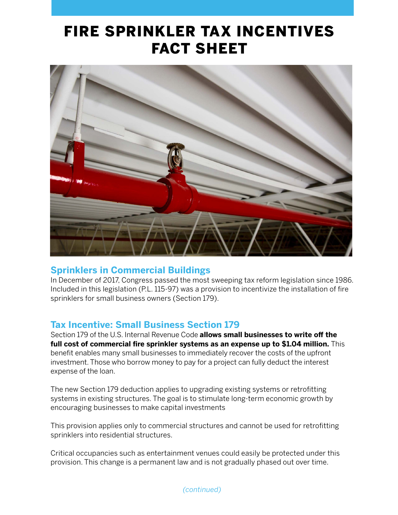## FIRE SPRINKLER TAX INCENTIVES FACT SHEET



## **Sprinklers in Commercial Buildings**

In December of 2017, Congress passed the most sweeping tax reform legislation since 1986. Included in this legislation (P.L. 115-97) was a provision to incentivize the installation of fire sprinklers for small business owners (Section 179).

## **Tax Incentive: Small Business Section 179**

Section 179 of the U.S. Internal Revenue Code **allows small businesses to write off the full cost of commercial fire sprinkler systems as an expense up to \$1.04 million.** This benefit enables many small businesses to immediately recover the costs of the upfront investment. Those who borrow money to pay for a project can fully deduct the interest expense of the loan.

The new Section 179 deduction applies to upgrading existing systems or retrofitting systems in existing structures. The goal is to stimulate long-term economic growth by encouraging businesses to make capital investments

This provision applies only to commercial structures and cannot be used for retrofitting sprinklers into residential structures.

Critical occupancies such as entertainment venues could easily be protected under this provision. This change is a permanent law and is not gradually phased out over time.

*(continued)*